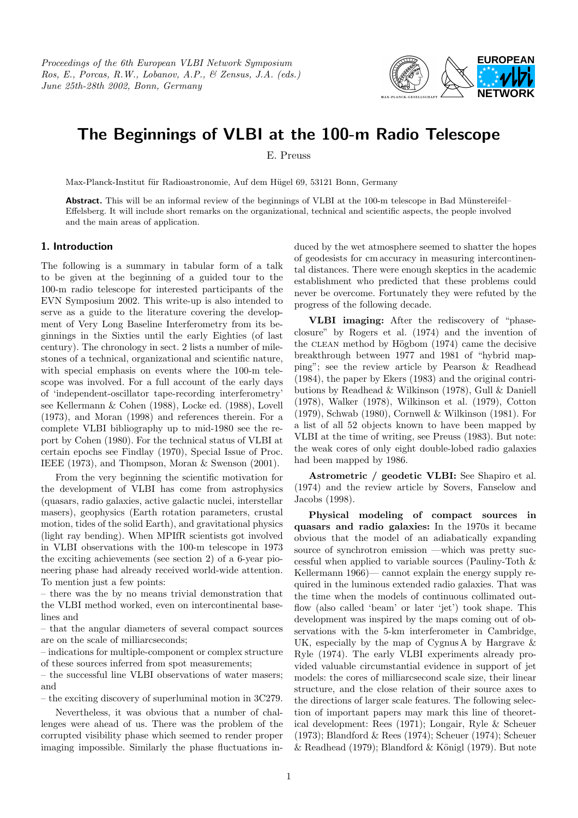Proceedings of the 6th European VLBI Network Symposium Ros, E., Porcas, R.W., Lobanov, A.P., & Zensus, J.A. (eds.) June 25th-28th 2002, Bonn, Germany



## The Beginnings of VLBI at the 100-m Radio Telescope

E. Preuss

Max-Planck-Institut für Radioastronomie, Auf dem Hügel 69, 53121 Bonn, Germany

Abstract. This will be an informal review of the beginnings of VLBI at the 100-m telescope in Bad Münstereifel-Effelsberg. It will include short remarks on the organizational, technical and scientific aspects, the people involved and the main areas of application.

## 1. Introduction

The following is a summary in tabular form of a talk to be given at the beginning of a guided tour to the 100-m radio telescope for interested participants of the EVN Symposium 2002. This write-up is also intended to serve as a guide to the literature covering the development of Very Long Baseline Interferometry from its beginnings in the Sixties until the early Eighties (of last century). The chronology in sect. 2 lists a number of milestones of a technical, organizational and scientific nature, with special emphasis on events where the 100-m telescope was involved. For a full account of the early days of 'independent-oscillator tape-recording interferometry' see Kellermann & Cohen (1988), Locke ed. (1988), Lovell (1973), and Moran (1998) and references therein. For a complete VLBI bibliography up to mid-1980 see the report by Cohen (1980). For the technical status of VLBI at certain epochs see Findlay (1970), Special Issue of Proc. IEEE (1973), and Thompson, Moran & Swenson (2001).

From the very beginning the scientific motivation for the development of VLBI has come from astrophysics (quasars, radio galaxies, active galactic nuclei, interstellar masers), geophysics (Earth rotation parameters, crustal motion, tides of the solid Earth), and gravitational physics (light ray bending). When MPIfR scientists got involved in VLBI observations with the 100-m telescope in 1973 the exciting achievements (see section 2) of a 6-year pioneering phase had already received world-wide attention. To mention just a few points:

– there was the by no means trivial demonstration that the VLBI method worked, even on intercontinental baselines and

– that the angular diameters of several compact sources are on the scale of milliarcseconds;

– indications for multiple-component or complex structure of these sources inferred from spot measurements;

– the successful line VLBI observations of water masers; and

– the exciting discovery of superluminal motion in 3C279.

Nevertheless, it was obvious that a number of challenges were ahead of us. There was the problem of the corrupted visibility phase which seemed to render proper imaging impossible. Similarly the phase fluctuations induced by the wet atmosphere seemed to shatter the hopes of geodesists for cm accuracy in measuring intercontinental distances. There were enough skeptics in the academic establishment who predicted that these problems could never be overcome. Fortunately they were refuted by the progress of the following decade.

VLBI imaging: After the rediscovery of "phaseclosure" by Rogers et al. (1974) and the invention of the CLEAN method by Högbom  $(1974)$  came the decisive breakthrough between 1977 and 1981 of "hybrid mapping"; see the review article by Pearson & Readhead (1984), the paper by Ekers (1983) and the original contributions by Readhead & Wilkinson (1978), Gull & Daniell (1978), Walker (1978), Wilkinson et al. (1979), Cotton (1979), Schwab (1980), Cornwell & Wilkinson (1981). For a list of all 52 objects known to have been mapped by VLBI at the time of writing, see Preuss (1983). But note: the weak cores of only eight double-lobed radio galaxies had been mapped by 1986.

Astrometric / geodetic VLBI: See Shapiro et al. (1974) and the review article by Sovers, Fanselow and Jacobs (1998).

Physical modeling of compact sources in quasars and radio galaxies: In the 1970s it became obvious that the model of an adiabatically expanding source of synchrotron emission —which was pretty successful when applied to variable sources (Pauliny-Toth & Kellermann 1966)— cannot explain the energy supply required in the luminous extended radio galaxies. That was the time when the models of continuous collimated outflow (also called 'beam' or later 'jet') took shape. This development was inspired by the maps coming out of observations with the 5-km interferometer in Cambridge, UK, especially by the map of Cygnus A by Hargrave & Ryle (1974). The early VLBI experiments already provided valuable circumstantial evidence in support of jet models: the cores of milliarcsecond scale size, their linear structure, and the close relation of their source axes to the directions of larger scale features. The following selection of important papers may mark this line of theoretical development: Rees (1971); Longair, Ryle & Scheuer (1973); Blandford & Rees (1974); Scheuer (1974); Scheuer  $&$  Readhead (1979); Blandford  $&$  Königl (1979). But note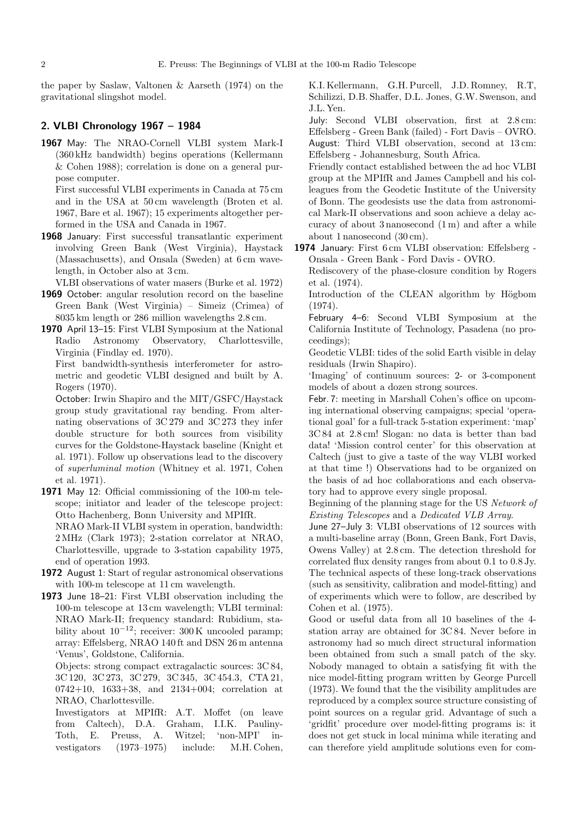the paper by Saslaw, Valtonen & Aarseth (1974) on the gravitational slingshot model.

## 2. VLBI Chronology 1967 – 1984

1967 May: The NRAO-Cornell VLBI system Mark-I (360 kHz bandwidth) begins operations (Kellermann & Cohen 1988); correlation is done on a general purpose computer.

First successful VLBI experiments in Canada at 75 cm and in the USA at 50 cm wavelength (Broten et al. 1967, Bare et al. 1967); 15 experiments altogether performed in the USA and Canada in 1967.

1968 January: First successful transatlantic experiment involving Green Bank (West Virginia), Haystack (Massachusetts), and Onsala (Sweden) at 6 cm wavelength, in October also at 3 cm.

VLBI observations of water masers (Burke et al. 1972)

- 1969 October: angular resolution record on the baseline Green Bank (West Virginia) – Simeiz (Crimea) of 8035 km length or 286 million wavelengths 2.8 cm.
- 1970 April 13–15: First VLBI Symposium at the National Radio Astronomy Observatory, Charlottesville, Virginia (Findlay ed. 1970).

First bandwidth-synthesis interferometer for astrometric and geodetic VLBI designed and built by A. Rogers (1970).

October: Irwin Shapiro and the MIT/GSFC/Haystack group study gravitational ray bending. From alternating observations of 3C 279 and 3C 273 they infer double structure for both sources from visibility curves for the Goldstone-Haystack baseline (Knight et al. 1971). Follow up observations lead to the discovery of superluminal motion (Whitney et al. 1971, Cohen et al. 1971).

1971 May 12: Official commissioning of the 100-m telescope; initiator and leader of the telescope project: Otto Hachenberg, Bonn University and MPIfR.

NRAO Mark-II VLBI system in operation, bandwidth: 2 MHz (Clark 1973); 2-station correlator at NRAO, Charlottesville, upgrade to 3-station capability 1975, end of operation 1993.

- 1972 August 1: Start of regular astronomical observations with 100-m telescope at 11 cm wavelength.
- 1973 June 18–21: First VLBI observation including the 100-m telescope at 13 cm wavelength; VLBI terminal: NRAO Mark-II; frequency standard: Rubidium, stability about  $10^{-12}$ ; receiver: 300 K uncooled paramp; array: Effelsberg, NRAO 140 ft and DSN 26 m antenna 'Venus', Goldstone, California.

Objects: strong compact extragalactic sources: 3C 84, 3C 120, 3C 273, 3C 279, 3C 345, 3C 454.3, CTA 21, 0742+10, 1633+38, and 2134+004; correlation at NRAO, Charlottesville.

Investigators at MPIfR: A.T. Moffet (on leave from Caltech), D.A. Graham, I.I.K. Pauliny-Toth, E. Preuss, A. Witzel; 'non-MPI' investigators (1973–1975) include: M.H. Cohen, K.I. Kellermann, G.H.Purcell, J.D. Romney, R.T, Schilizzi, D.B. Shaffer, D.L. Jones, G.W. Swenson, and J.L. Yen.

July: Second VLBI observation, first at 2.8 cm: Effelsberg - Green Bank (failed) - Fort Davis – OVRO. August: Third VLBI observation, second at 13 cm: Effelsberg - Johannesburg, South Africa.

Friendly contact established between the ad hoc VLBI group at the MPIfR and James Campbell and his colleagues from the Geodetic Institute of the University of Bonn. The geodesists use the data from astronomical Mark-II observations and soon achieve a delay accuracy of about 3 nanosecond (1 m) and after a while about 1 nanosecond (30 cm).

1974 January: First 6 cm VLBI observation: Effelsberg - Onsala - Green Bank - Ford Davis - OVRO.

Rediscovery of the phase-closure condition by Rogers et al. (1974).

Introduction of the CLEAN algorithm by Högbom (1974).

February 4–6: Second VLBI Symposium at the California Institute of Technology, Pasadena (no proceedings);

Geodetic VLBI: tides of the solid Earth visible in delay residuals (Irwin Shapiro).

'Imaging' of continuum sources: 2- or 3-component models of about a dozen strong sources.

Febr. 7: meeting in Marshall Cohen's office on upcoming international observing campaigns; special 'operational goal' for a full-track 5-station experiment: 'map' 3C 84 at 2.8 cm! Slogan: no data is better than bad data! 'Mission control center' for this observation at Caltech (just to give a taste of the way VLBI worked at that time !) Observations had to be organized on the basis of ad hoc collaborations and each observatory had to approve every single proposal.

Beginning of the planning stage for the US Network of Existing Telescopes and a Dedicated VLB Array.

June 27–July 3: VLBI observations of 12 sources with a multi-baseline array (Bonn, Green Bank, Fort Davis, Owens Valley) at 2.8 cm. The detection threshold for correlated flux density ranges from about 0.1 to 0.8 Jy. The technical aspects of these long-track observations (such as sensitivity, calibration and model-fitting) and of experiments which were to follow, are described by Cohen et al. (1975).

Good or useful data from all 10 baselines of the 4 station array are obtained for 3C 84. Never before in astronomy had so much direct structural information been obtained from such a small patch of the sky. Nobody managed to obtain a satisfying fit with the nice model-fitting program written by George Purcell (1973). We found that the the visibility amplitudes are reproduced by a complex source structure consisting of point sources on a regular grid. Advantage of such a 'gridfit' procedure over model-fitting programs is: it does not get stuck in local minima while iterating and can therefore yield amplitude solutions even for com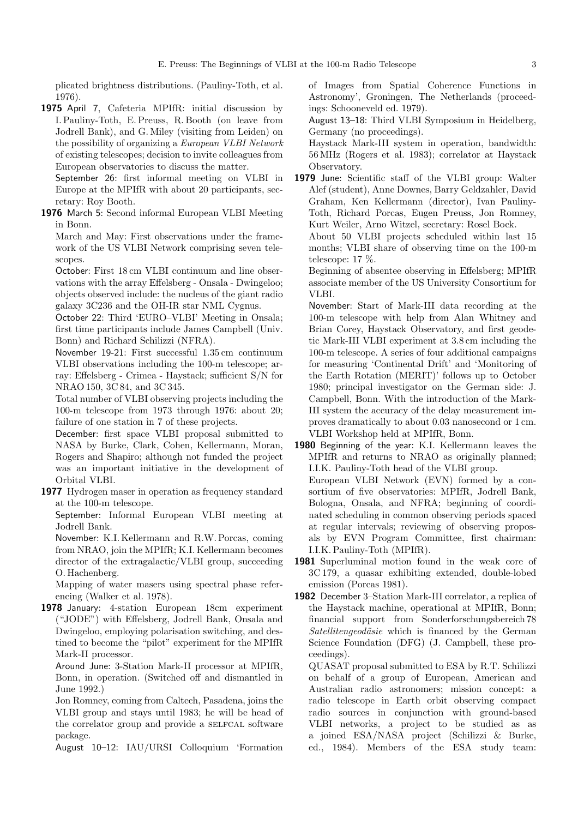plicated brightness distributions. (Pauliny-Toth, et al. 1976).

1975 April 7, Cafeteria MPIfR: initial discussion by I.Pauliny-Toth, E.Preuss, R. Booth (on leave from Jodrell Bank), and G. Miley (visiting from Leiden) on the possibility of organizing a European VLBI Network of existing telescopes; decision to invite colleagues from European observatories to discuss the matter.

September 26: first informal meeting on VLBI in Europe at the MPIfR with about 20 participants, secretary: Roy Booth.

1976 March 5: Second informal European VLBI Meeting in Bonn.

March and May: First observations under the framework of the US VLBI Network comprising seven telescopes.

October: First 18 cm VLBI continuum and line observations with the array Effelsberg - Onsala - Dwingeloo; objects observed include: the nucleus of the giant radio galaxy 3C236 and the OH-IR star NML Cygnus.

October 22: Third 'EURO–VLBI' Meeting in Onsala; first time participants include James Campbell (Univ. Bonn) and Richard Schilizzi (NFRA).

November 19-21: First successful 1.35 cm continuum VLBI observations including the 100-m telescope; array: Effelsberg - Crimea - Haystack; sufficient S/N for NRAO 150, 3C 84, and 3C 345.

Total number of VLBI observing projects including the 100-m telescope from 1973 through 1976: about 20; failure of one station in 7 of these projects.

December: first space VLBI proposal submitted to NASA by Burke, Clark, Cohen, Kellermann, Moran, Rogers and Shapiro; although not funded the project was an important initiative in the development of Orbital VLBI.

1977 Hydrogen maser in operation as frequency standard at the 100-m telescope.

September: Informal European VLBI meeting at Jodrell Bank.

November: K.I. Kellermann and R.W.Porcas, coming from NRAO, join the MPIfR; K.I. Kellermann becomes director of the extragalactic/VLBI group, succeeding O. Hachenberg.

Mapping of water masers using spectral phase referencing (Walker et al. 1978).

1978 January: 4-station European 18cm experiment ("JODE") with Effelsberg, Jodrell Bank, Onsala and Dwingeloo, employing polarisation switching, and destined to become the "pilot" experiment for the MPIfR Mark-II processor.

Around June: 3-Station Mark-II processor at MPIfR, Bonn, in operation. (Switched off and dismantled in June 1992.)

Jon Romney, coming from Caltech, Pasadena, joins the VLBI group and stays until 1983; he will be head of the correlator group and provide a SELFCAL software package.

August 10–12: IAU/URSI Colloquium 'Formation

of Images from Spatial Coherence Functions in Astronomy', Groningen, The Netherlands (proceedings: Schooneveld ed. 1979).

August 13–18: Third VLBI Symposium in Heidelberg, Germany (no proceedings).

Haystack Mark-III system in operation, bandwidth: 56 MHz (Rogers et al. 1983); correlator at Haystack Observatory.

1979 June: Scientific staff of the VLBI group: Walter Alef (student), Anne Downes, Barry Geldzahler, David Graham, Ken Kellermann (director), Ivan Pauliny-Toth, Richard Porcas, Eugen Preuss, Jon Romney, Kurt Weiler, Arno Witzel, secretary: Rosel Bock.

About 50 VLBI projects scheduled within last 15 months; VLBI share of observing time on the 100-m telescope: 17 %.

Beginning of absentee observing in Effelsberg; MPIfR associate member of the US University Consortium for VLBI.

November: Start of Mark-III data recording at the 100-m telescope with help from Alan Whitney and Brian Corey, Haystack Observatory, and first geodetic Mark-III VLBI experiment at 3.8 cm including the 100-m telescope. A series of four additional campaigns for measuring 'Continental Drift' and 'Monitoring of the Earth Rotation (MERIT)' follows up to October 1980; principal investigator on the German side: J. Campbell, Bonn. With the introduction of the Mark-III system the accuracy of the delay measurement improves dramatically to about 0.03 nanosecond or 1 cm. VLBI Workshop held at MPIfR, Bonn.

1980 Beginning of the year: K.I. Kellermann leaves the MPIfR and returns to NRAO as originally planned; I.I.K. Pauliny-Toth head of the VLBI group.

European VLBI Network (EVN) formed by a consortium of five observatories: MPIfR, Jodrell Bank, Bologna, Onsala, and NFRA; beginning of coordinated scheduling in common observing periods spaced at regular intervals; reviewing of observing proposals by EVN Program Committee, first chairman: I.I.K.Pauliny-Toth (MPIfR).

- 1981 Superluminal motion found in the weak core of 3C 179, a quasar exhibiting extended, double-lobed emission (Porcas 1981).
- 1982 December 3–Station Mark-III correlator, a replica of the Haystack machine, operational at MPIfR, Bonn; financial support from Sonderforschungsbereich 78 Satellitengeodäsie which is financed by the German Science Foundation (DFG) (J. Campbell, these proceedings).

QUASAT proposal submitted to ESA by R.T. Schilizzi on behalf of a group of European, American and Australian radio astronomers; mission concept: a radio telescope in Earth orbit observing compact radio sources in conjunction with ground-based VLBI networks, a project to be studied as as a joined ESA/NASA project (Schilizzi & Burke, ed., 1984). Members of the ESA study team: